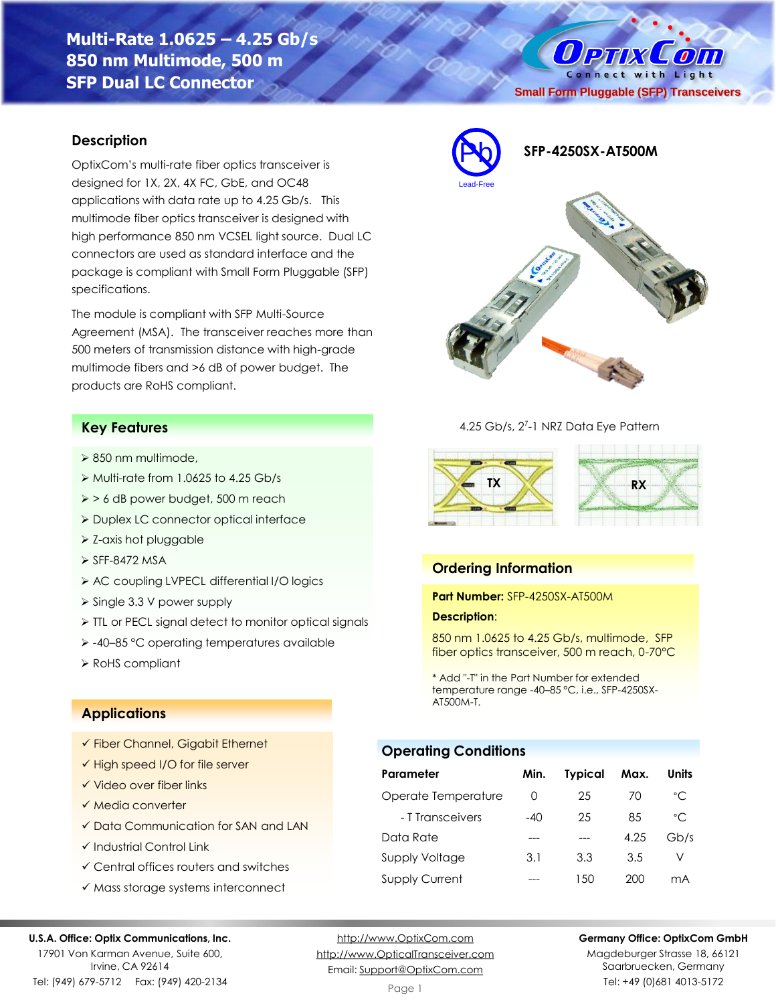**Multi-Rate 1.0625 – 4.25 Gb/s 850 nm Multimode, 500 m SFP Dual LC Connector**

### **Description**

OptixCom's multi-rate fiber optics transceiver is designed for 1X, 2X, 4X FC, GbE, and OC48 applications with data rate up to 4.25 Gb/s. This multimode fiber optics transceiver is designed with high performance 850 nm VCSEL light source. Dual LC connectors are used as standard interface and the package is compliant with Small Form Pluggable (SFP) specifications.

The module is compliant with SFP Multi-Source Agreement (MSA). The transceiver reaches more than 500 meters of transmission distance with high-grade multimode fibers and >6 dB of power budget. The products are RoHS compliant.

## **Key Features**

- ➢ 850 nm multimode,
- ➢ Multi-rate from 1.0625 to 4.25 Gb/s
- ➢ > 6 dB power budget, 500 m reach
- ➢ Duplex LC connector optical interface
- ➢ Z-axis hot pluggable
- ➢ SFF-8472 MSA
- ➢ AC coupling LVPECL differential I/O logics
- ➢ Single 3.3 V power supply
- ➢ TTL or PECL signal detect to monitor optical signals
- ➢ -40–85 °C operating temperatures available
- ➢ RoHS compliant

### **Applications**

- ✓ Fiber Channel, Gigabit Ethernet
- ✓ High speed I/O for file server
- ✓ Video over fiber links
- ✓ Media converter
- ✓ Data Communication for SAN and LAN
- ✓ Industrial Control Link
- ✓ Central offices routers and switches
- ✓ Mass storage systems interconnect

#### **U.S.A. Office: Optix Communications, Inc.**

17901 Von Karman Avenue, Suite 600, Irvine, CA 92614 Tel: (949) 679-5712 Fax: (949) 420-2134

[http://www.OptixCom.com](http://www.optixcom.com/) [http://www.OpticalTransceiver.com](http://www.optoictech.com/) Email: [Support@OptixCom.com](mailto:Support@optoICtech.com)

Page 1



Magdeburger Strasse 18, 66121 Saarbruecken, Germany Tel: +49 (0)681 4013-5172





4.25 Gb/s, 2<sup>7</sup>-1 NRZ Data Eye Pattern



### **Ordering Information**

**Part Number:** SFP-4250SX-AT500M

#### **Description**:

850 nm 1.0625 to 4.25 Gb/s, multimode, SFP fiber optics transceiver, 500 m reach, 0-70°C

\* Add "-T" in the Part Number for extended temperature range -40–85 °C, i.e., SFP-4250SX-AT500M-T.

#### **Operating Conditions**

| Parameter             | Min.  | <b>Typical</b> | Max. | Units |
|-----------------------|-------|----------------|------|-------|
| Operate Temperature   | O     | 25             | 70   | °C    |
| - T Transceivers      | $-40$ | 25             | 85   | °C    |
| Data Rate             |       |                | 4.25 | Gb/s  |
| <b>Supply Voltage</b> | 3.1   | 3.3            | 3.5  | V     |
| <b>Supply Current</b> |       | 1.50           | 200  | mA    |

O PTIX COM Connect with Light

**Small Form Pluggable (SFP) Transceivers**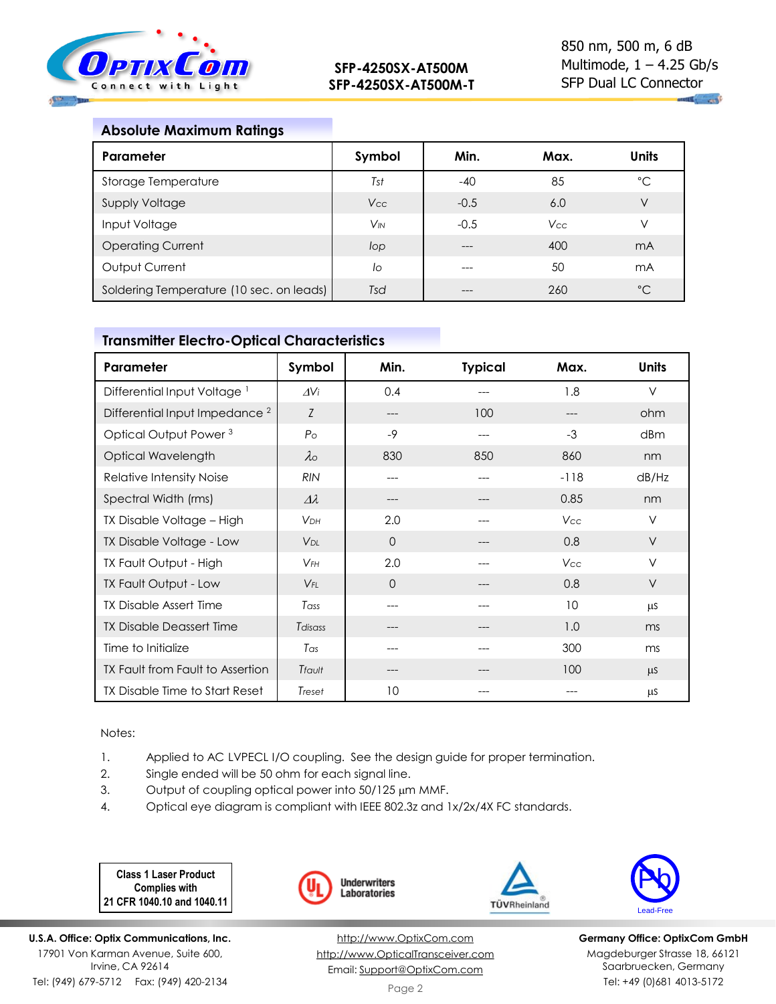

## **Absolute Maximum Ratings**

| Parameter                                | Symbol                | Min.   | Max.       | Units        |
|------------------------------------------|-----------------------|--------|------------|--------------|
| Storage Temperature                      | Tst                   | $-40$  | 85         | °C           |
| <b>Supply Voltage</b>                    | <b>Vcc</b>            | $-0.5$ | 6.0        | V            |
| Input Voltage                            | <b>V<sub>IN</sub></b> | $-0.5$ | <b>Vcc</b> | V            |
| <b>Operating Current</b>                 | lop                   | ---    | 400        | mA           |
| Output Current                           | lo                    | ---    | 50         | mA           |
| Soldering Temperature (10 sec. on leads) | Tsd                   | ---    | 260        | $^{\circ}$ C |

# **Transmitter Electro-Optical Characteristics**

| Parameter                                 | Symbol                | Min.     | <b>Typical</b> | Max.   | <b>Units</b> |
|-------------------------------------------|-----------------------|----------|----------------|--------|--------------|
| Differential Input Voltage <sup>1</sup>   | $\Delta V$ i          | 0.4      |                | 1.8    | $\vee$       |
| Differential Input Impedance <sup>2</sup> | Z                     | ---      | 100            | ---    | ohm          |
| Optical Output Power <sup>3</sup>         | P <sub>O</sub>        | $-9$     | ---            | $-3$   | dBm          |
| Optical Wavelength                        | $\lambda$             | 830      | 850            | 860    | nm           |
| Relative Intensity Noise                  | <b>RIN</b>            | ---      |                | $-118$ | dB/Hz        |
| Spectral Width (rms)                      | $\varDelta\lambda$    | ---      | $---$          | 0.85   | nm           |
| TX Disable Voltage - High                 | <b>VDH</b>            | 2.0      | $---$          | Vcc    | $\vee$       |
| TX Disable Voltage - Low                  | <b>V<sub>DL</sub></b> | $\Omega$ |                | 0.8    | $\vee$       |
| <b>TX Fault Output - High</b>             | $V$ FH                | 2.0      |                | Vcc    | $\vee$       |
| TX Fault Output - Low                     | $V_{FL}$              | $\Omega$ |                | 0.8    | $\vee$       |
| <b>TX Disable Assert Time</b>             | Tass                  | ---      |                | 10     | μS           |
| <b>TX Disable Deassert Time</b>           | Tdisass               |          |                | 1.0    | ms           |
| Time to Initialize                        | Tas                   | ---      |                | 300    | ms           |
| TX Fault from Fault to Assertion          | Tfault                | ---      |                | 100    | μS           |
| TX Disable Time to Start Reset            | Treset                | 10       |                |        | μS           |

Notes:

- 1. Applied to AC LVPECL I/O coupling. See the design guide for proper termination.
- 2. Single ended will be 50 ohm for each signal line.
- 3. Output of coupling optical power into 50/125 µm MMF.
- 4. Optical eye diagram is compliant with IEEE 802.3z and 1x/2x/4X FC standards.

**Class 1 Laser Product Complies with 21 CFR 1040.10 and 1040.11**

**U.S.A. Office: Optix Communications, Inc.** 17901 Von Karman Avenue, Suite 600, Irvine, CA 92614 Tel: (949) 679-5712 Fax: (949) 420-2134







TÜVRheinland

**Germany Office: OptixCom GmbH** Magdeburger Strasse 18, 66121 Saarbruecken, Germany Tel: +49 (0)681 4013-5172